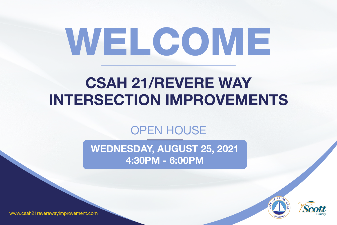





## WEDNESDAY, AUGUST 25, 2021 4:30PM - 6:00PM CSAH 21/REVERE WAY INTERSECTION IMPROVEMENTS OPEN HOUSE

www.csah21reverewayimprovement.com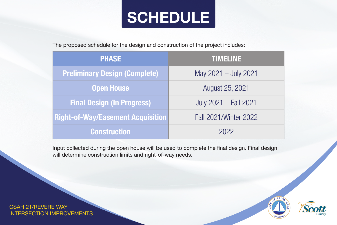### Construc

| <b>PHASE</b>                             | TIMELINE                     |
|------------------------------------------|------------------------------|
| <b>Preliminary Design (Complete)</b>     | May 2021 - July 2021         |
| Open House                               | August 25, 2021              |
| <b>Final Design (In Progress)</b>        | July 2021 - Fall 2021        |
| <b>Right-of-Way/Easement Acquisition</b> | <b>Fall 2021/Winter 2022</b> |
| Construction                             | 2022                         |

- 
- 
- 





The proposed schedule for the design and construction of the project includes:

Input collected during the open house will be used to complete the final design. Final design will determine construction limits and right-of-way needs.

CSAH 21/REVERE WAY INTERSECTION IMPROVEMENTS

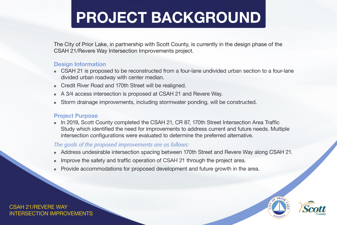### CSAH 21/REVERE WAY INTERSECTION IMPROVEMENTS

■ CSAH 21 is proposed to be reconstructed from a four-lane undivided urban section to a four-lane

■ Credit River Road and 170th Street will be realigned.

The City of Prior Lake, in partnership with Scott County, is currently in the design phase of the CSAH 21/Revere Way Intersection Improvements project.

### Design Information

- divided urban roadway with center median.
- 
- 
- 

In 2019, Scott County completed the CSAH 21, CR 87, 170th Street Intersection Area Traffic Study which identified the need for improvements to address current and future needs. Multiple intersection configurations were evaluated to determine the preferred alternative.

A 3/4 access intersection is proposed at CSAH 21 and Revere Way.

■ Storm drainage improvements, including stormwater ponding, will be constructed.

### Project Purpose

- 
- 
- 

*The goals of the proposed improvements are as follows:*

 Address undesirable intersection spacing between 170th Street and Revere Way along CSAH 21. Improve the safety and traffic operation of CSAH 21 through the project area. Provide accommodations for proposed development and future growth in the area.







## PROJECT BACKGROUND